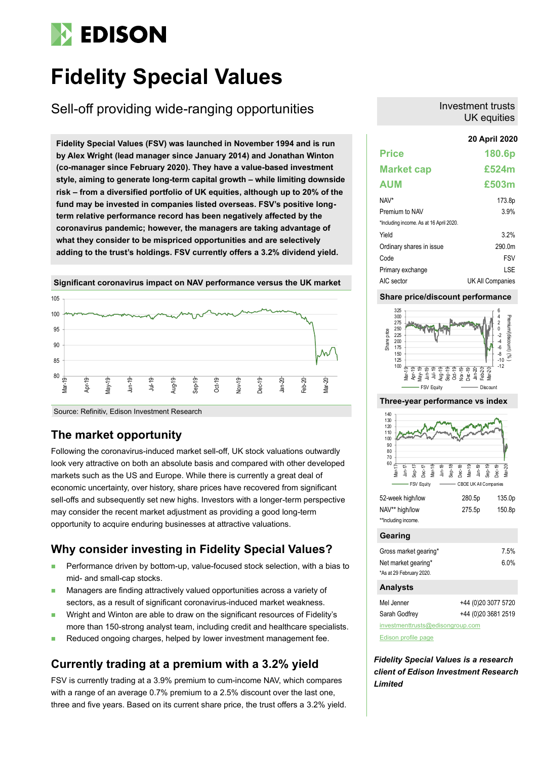# **EDISON**

# **Fidelity Special Values**

Sell-off providing wide-ranging opportunities

**20 April 2020 Fidelity Special Values (FSV) was launched in November 1994 and is run by Alex Wright (lead manager since January 2014) and Jonathan Winton (co-manager since February 2020). They have a value-based investment style, aiming to generate long-term capital growth – while limiting downside risk – from a diversified portfolio of UK equities, although up to 20% of the fund may be invested in companies listed overseas. FSV's positive longterm relative performance record has been negatively affected by the coronavirus pandemic; however, the managers are taking advantage of what they consider to be mispriced opportunities and are selectively adding to the trust's holdings. FSV currently offers a 3.2% dividend yield.** 



**Significant coronavirus impact on NAV performance versus the UK market**

#### Source: Refinitiv, Edison Investment Research

## **The market opportunity**

Following the coronavirus-induced market sell-off, UK stock valuations outwardly look very attractive on both an absolute basis and compared with other developed markets such as the US and Europe. While there is currently a great deal of economic uncertainty, over history, share prices have recovered from significant sell-offs and subsequently set new highs. Investors with a longer-term perspective may consider the recent market adjustment as providing a good long-term opportunity to acquire enduring businesses at attractive valuations.

## **Why consider investing in Fidelity Special Values?**

- Performance driven by bottom-up, value-focused stock selection, with a bias to mid- and small-cap stocks.
- Managers are finding attractively valued opportunities across a variety of sectors, as a result of significant coronavirus-induced market weakness.
- Wright and Winton are able to draw on the significant resources of Fidelity's more than 150-strong analyst team, including credit and healthcare specialists.
- Reduced ongoing charges, helped by lower investment management fee.

## **Currently trading at a premium with a 3.2% yield**

FSV is currently trading at a 3.9% premium to cum-income NAV, which compares with a range of an average 0.7% premium to a 2.5% discount over the last one, three and five years. Based on its current share price, the trust offers a 3.2% yield.

#### Investment trusts UK equities

## **Price 180.6p Market cap £524m AUM £503m** NAV\* 173.8p Premium to NAV 3.9% \*Including income. As at 16 April 2020. Yield 3.2% Ordinary shares in issue 290.0m Code FSV Primary exchange LSE AIC sector UK All Companies

### **Share price/discount performance**



#### **Three-year performance vs index**



| 52-week high/low    | 280.5p | 135.0p |
|---------------------|--------|--------|
| NAV** high/low      | 275.5p | 150.8p |
| **Including income. |        |        |

#### **Gearing**

| Gross market gearing*    | 7.5% |
|--------------------------|------|
| Net market gearing*      | 6.0% |
| *As at 29 February 2020. |      |

### **Analysts**

| Mel Jenner                       | +44 (0)20 3077 5720 |
|----------------------------------|---------------------|
| Sarah Godfrey                    | +44 (0)20 3681 2519 |
| investmenttrusts@edisongroup.com |                     |

[Edison profile page](https://www.edisongroup.com/company/fidelity-special-values/2822/)

*Fidelity Special Values is a research client of Edison Investment Research Limited*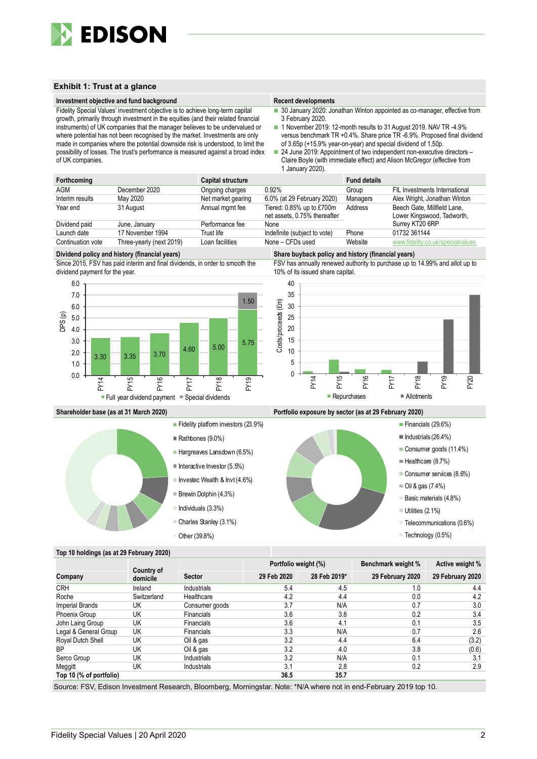

#### **Exhibit 1: Trust at a glance**

#### **Investment objective and fund background Recent developments Recent developments**

Fidelity Special Values' investment objective is to achieve long-term capital

growth, primarily through investment in the equities (and their related financial instruments) of UK companies that the manager believes to be undervalued or where potential has not been recognised by the market. Investments are only made in companies where the potential downside risk is understood, to limit the possibility of losses. The trust's performance is measured against a broad index of UK companies.

■ 30 January 2020: Jonathan Winton appointed as co-manager, effective from 3 February 2020.

■ 1 November 2019: 12-month results to 31 August 2019. NAV TR -4.9% versus benchmark TR +0.4%. Share price TR -6.9%. Proposed final dividend of 3.65p (+15.9% year-on-year) and special dividend of 1.50p.

24 June 2019: Appointment of two independent non-executive directors -Claire Boyle (with immediate effect) and Alison McGregor (effective from 1 January 2020).

| Forthcoming       |                          | <b>Capital structure</b> |                                                           | <b>Fund details</b> |                                                           |
|-------------------|--------------------------|--------------------------|-----------------------------------------------------------|---------------------|-----------------------------------------------------------|
| AGM               | December 2020            | Ongoing charges          | 0.92%                                                     | Group               | FIL Investments International                             |
| Interim results   | May 2020                 | Net market gearing       | 6.0% (at 29 February 2020)                                | Managers            | Alex Wright, Jonathan Winton                              |
| Year end          | 31 August                | Annual mgmt fee          | Tiered: 0.85% up to £700m<br>net assets, 0.75% thereafter | Address             | Beech Gate, Millfield Lane,<br>Lower Kingswood, Tadworth, |
| Dividend paid     | June, January            | Performance fee          | None                                                      |                     | Surrey KT20 6RP                                           |
| Launch date       | 17 November 1994         | Trust life               | Indefinite (subject to vote)                              | Phone               | 01732 361144                                              |
| Continuation vote | Three-yearly (next 2019) | Loan facilities          | None - CFDs used                                          | Website             | www.fidelity.co.uk/specialvalues                          |

#### **Dividend policy and history (financial years) Share buyback policy and history (financial years)**

Since 2015, FSV has paid interim and final dividends, in order to smooth the dividend payment for the year.



FSV has annually renewed authority to purchase up to 14.99% and allot up to 10% of its issued share capital.





#### **Shareholder base (as at 31 March 2020) Portfolio exposure by sector (as at 29 February 2020)**



#### **Top 10 holdings (as at 29 February 2020)**

|                         |                        |                   | Portfolio weight (%) |              | Benchmark weight % | Active weight %  |
|-------------------------|------------------------|-------------------|----------------------|--------------|--------------------|------------------|
| Company                 | Country of<br>domicile | <b>Sector</b>     | 29 Feb 2020          | 28 Feb 2019* | 29 February 2020   | 29 February 2020 |
| <b>CRH</b>              | Ireland                | Industrials       | 5.4                  | 4.5          | 1.0                | 4.4              |
| Roche                   | Switzerland            | Healthcare        | 4.2                  | 4.4          | 0.0                | 4.2              |
| Imperial Brands         | UK                     | Consumer goods    | 3.7                  | N/A          | 0.7                | 3.0              |
| Phoenix Group           | UK                     | <b>Financials</b> | 3.6                  | 3.8          | 0.2                | 3.4              |
| John Laing Group        | UK                     | <b>Financials</b> | 3.6                  | 4.1          | 0.1                | 3.5              |
| Legal & General Group   | UK                     | <b>Financials</b> | 3.3                  | N/A          | 0.7                | 2.6              |
| Royal Dutch Shell       | UK                     | Oil & gas         | 3.2                  | 4.4          | 6.4                | (3.2)            |
| <b>BP</b>               | UK                     | Oil & gas         | 3.2                  | 4.0          | 3.8                | (0.6)            |
| Serco Group             | UK                     | Industrials       | 3.2                  | N/A          | 0.1                | 3.1              |
| Meggitt                 | UK                     | Industrials       | 3.1                  | 2.8          | 0.2                | 2.9              |
| Top 10 (% of portfolio) |                        |                   | 36.5                 | 35.7         |                    |                  |

Source: FSV, Edison Investment Research, Bloomberg, Morningstar. Note: \*N/A where not in end-February 2019 top 10.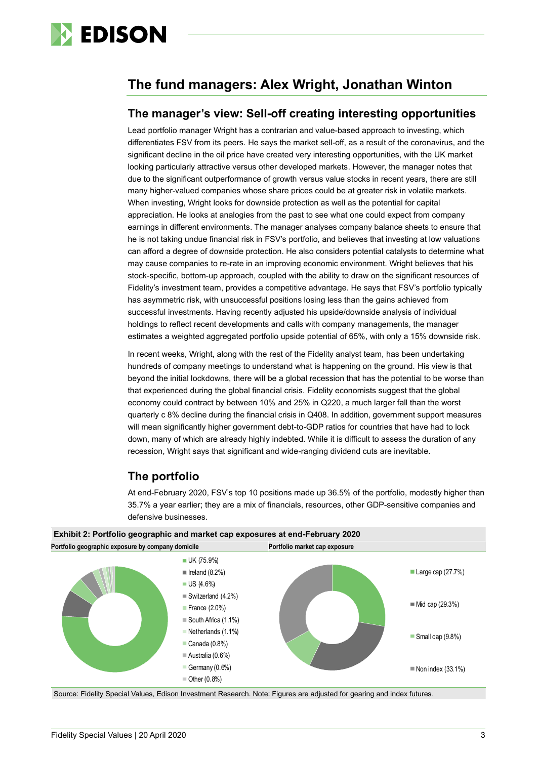

## **The fund managers: Alex Wright, Jonathan Winton**

## **The manager's view: Sell-off creating interesting opportunities**

Lead portfolio manager Wright has a contrarian and value-based approach to investing, which differentiates FSV from its peers. He says the market sell-off, as a result of the coronavirus, and the significant decline in the oil price have created very interesting opportunities, with the UK market looking particularly attractive versus other developed markets. However, the manager notes that due to the significant outperformance of growth versus value stocks in recent years, there are still many higher-valued companies whose share prices could be at greater risk in volatile markets. When investing, Wright looks for downside protection as well as the potential for capital appreciation. He looks at analogies from the past to see what one could expect from company earnings in different environments. The manager analyses company balance sheets to ensure that he is not taking undue financial risk in FSV's portfolio, and believes that investing at low valuations can afford a degree of downside protection. He also considers potential catalysts to determine what may cause companies to re-rate in an improving economic environment. Wright believes that his stock-specific, bottom-up approach, coupled with the ability to draw on the significant resources of Fidelity's investment team, provides a competitive advantage. He says that FSV's portfolio typically has asymmetric risk, with unsuccessful positions losing less than the gains achieved from successful investments. Having recently adjusted his upside/downside analysis of individual holdings to reflect recent developments and calls with company managements, the manager estimates a weighted aggregated portfolio upside potential of 65%, with only a 15% downside risk.

In recent weeks, Wright, along with the rest of the Fidelity analyst team, has been undertaking hundreds of company meetings to understand what is happening on the ground. His view is that beyond the initial lockdowns, there will be a global recession that has the potential to be worse than that experienced during the global financial crisis. Fidelity economists suggest that the global economy could contract by between 10% and 25% in Q220, a much larger fall than the worst quarterly c 8% decline during the financial crisis in Q408. In addition, government support measures will mean significantly higher government debt-to-GDP ratios for countries that have had to lock down, many of which are already highly indebted. While it is difficult to assess the duration of any recession, Wright says that significant and wide-ranging dividend cuts are inevitable.

## **The portfolio**

At end-February 2020, FSV's top 10 positions made up 36.5% of the portfolio, modestly higher than 35.7% a year earlier; they are a mix of financials, resources, other GDP-sensitive companies and defensive businesses.



Source: Fidelity Special Values, Edison Investment Research. Note: Figures are adjusted for gearing and index futures.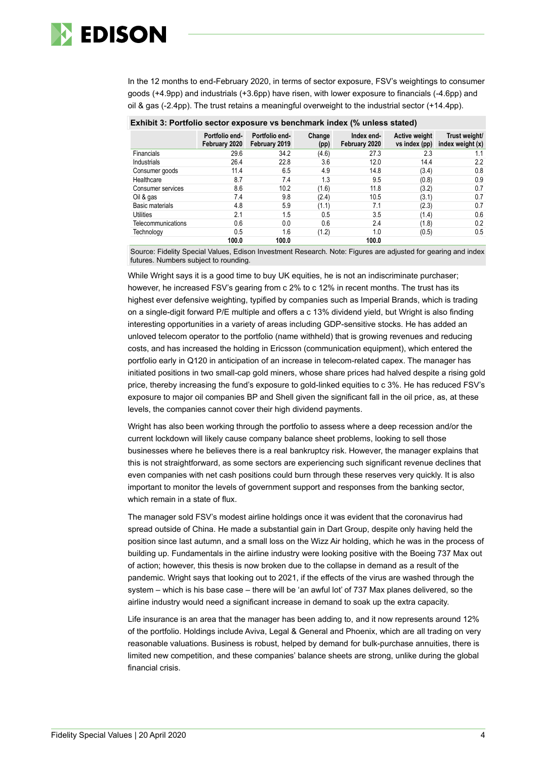

In the 12 months to end-February 2020, in terms of sector exposure, FSV's weightings to consumer goods (+4.9pp) and industrials (+3.6pp) have risen, with lower exposure to financials (-4.6pp) and oil & gas (-2.4pp). The trust retains a meaningful overweight to the industrial sector (+14.4pp).

| <b>EXIMPLE 8. FOLLOTO SECTOR GADOSULE VS DELIGITION THREA</b> (70 UNITESS STATED) |                                 |                                 |                |                             |                                |                                     |  |  |  |
|-----------------------------------------------------------------------------------|---------------------------------|---------------------------------|----------------|-----------------------------|--------------------------------|-------------------------------------|--|--|--|
|                                                                                   | Portfolio end-<br>February 2020 | Portfolio end-<br>February 2019 | Change<br>(pp) | Index end-<br>February 2020 | Active weight<br>vs index (pp) | Trust weight/<br>index weight $(x)$ |  |  |  |
| <b>Financials</b>                                                                 | 29.6                            | 34.2                            | (4.6)          | 27.3                        | 2.3                            | 1.1                                 |  |  |  |
| Industrials                                                                       | 26.4                            | 22.8                            | 3.6            | 12.0                        | 14.4                           | 2.2                                 |  |  |  |
| Consumer goods                                                                    | 11.4                            | 6.5                             | 4.9            | 14.8                        | (3.4)                          | 0.8                                 |  |  |  |
| Healthcare                                                                        | 8.7                             | 7.4                             | 1.3            | 9.5                         | (0.8)                          | 0.9                                 |  |  |  |
| Consumer services                                                                 | 8.6                             | 10.2                            | (1.6)          | 11.8                        | (3.2)                          | 0.7                                 |  |  |  |
| Oil & gas                                                                         | 7.4                             | 9.8                             | (2.4)          | 10.5                        | (3.1)                          | 0.7                                 |  |  |  |
| Basic materials                                                                   | 4.8                             | 5.9                             | (1.1)          | 7.1                         | (2.3)                          | 0.7                                 |  |  |  |
| <b>Utilities</b>                                                                  | 2.1                             | 1.5                             | 0.5            | 3.5                         | (1.4)                          | 0.6                                 |  |  |  |
| Telecommunications                                                                | 0.6                             | 0.0                             | 0.6            | 2.4                         | (1.8)                          | 0.2                                 |  |  |  |
| Technology                                                                        | 0.5                             | 1.6                             | (1.2)          | 1.0                         | (0.5)                          | 0.5                                 |  |  |  |
|                                                                                   | 100.0                           | 100.0                           |                | 100.0                       |                                |                                     |  |  |  |

| Exhibit 3: Portfolio sector exposure vs benchmark index (% unless stated) |  |
|---------------------------------------------------------------------------|--|
|                                                                           |  |

Source: Fidelity Special Values, Edison Investment Research. Note: Figures are adjusted for gearing and index futures. Numbers subject to rounding.

While Wright says it is a good time to buy UK equities, he is not an indiscriminate purchaser; however, he increased FSV's gearing from c 2% to c 12% in recent months. The trust has its highest ever defensive weighting, typified by companies such as Imperial Brands, which is trading on a single-digit forward P/E multiple and offers a c 13% dividend yield, but Wright is also finding interesting opportunities in a variety of areas including GDP-sensitive stocks. He has added an unloved telecom operator to the portfolio (name withheld) that is growing revenues and reducing costs, and has increased the holding in Ericsson (communication equipment), which entered the portfolio early in Q120 in anticipation of an increase in telecom-related capex. The manager has initiated positions in two small-cap gold miners, whose share prices had halved despite a rising gold price, thereby increasing the fund's exposure to gold-linked equities to c 3%. He has reduced FSV's exposure to major oil companies BP and Shell given the significant fall in the oil price, as, at these levels, the companies cannot cover their high dividend payments.

Wright has also been working through the portfolio to assess where a deep recession and/or the current lockdown will likely cause company balance sheet problems, looking to sell those businesses where he believes there is a real bankruptcy risk. However, the manager explains that this is not straightforward, as some sectors are experiencing such significant revenue declines that even companies with net cash positions could burn through these reserves very quickly. It is also important to monitor the levels of government support and responses from the banking sector, which remain in a state of flux.

The manager sold FSV's modest airline holdings once it was evident that the coronavirus had spread outside of China. He made a substantial gain in Dart Group, despite only having held the position since last autumn, and a small loss on the Wizz Air holding, which he was in the process of building up. Fundamentals in the airline industry were looking positive with the Boeing 737 Max out of action; however, this thesis is now broken due to the collapse in demand as a result of the pandemic. Wright says that looking out to 2021, if the effects of the virus are washed through the system – which is his base case – there will be 'an awful lot' of 737 Max planes delivered, so the airline industry would need a significant increase in demand to soak up the extra capacity.

Life insurance is an area that the manager has been adding to, and it now represents around 12% of the portfolio. Holdings include Aviva, Legal & General and Phoenix, which are all trading on very reasonable valuations. Business is robust, helped by demand for bulk-purchase annuities, there is limited new competition, and these companies' balance sheets are strong, unlike during the global financial crisis.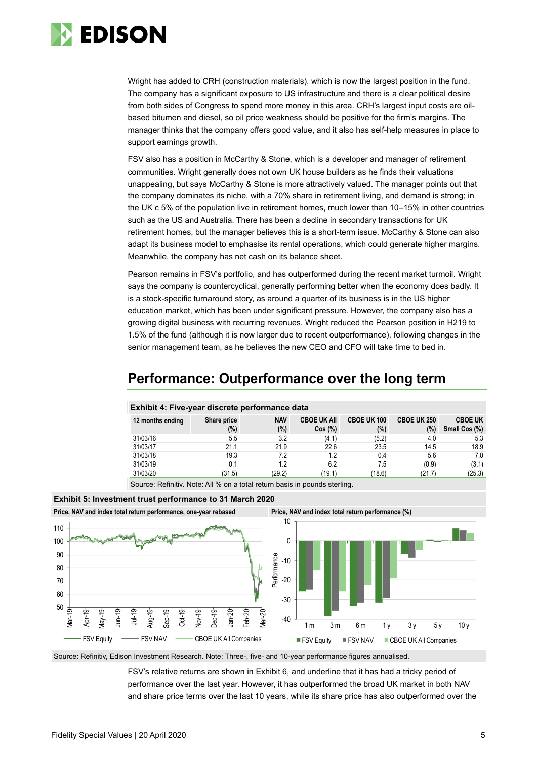

Wright has added to CRH (construction materials), which is now the largest position in the fund. The company has a significant exposure to US infrastructure and there is a clear political desire from both sides of Congress to spend more money in this area. CRH's largest input costs are oilbased bitumen and diesel, so oil price weakness should be positive for the firm's margins. The manager thinks that the company offers good value, and it also has self-help measures in place to support earnings growth.

FSV also has a position in McCarthy & Stone, which is a developer and manager of retirement communities. Wright generally does not own UK house builders as he finds their valuations unappealing, but says McCarthy & Stone is more attractively valued. The manager points out that the company dominates its niche, with a 70% share in retirement living, and demand is strong; in the UK c 5% of the population live in retirement homes, much lower than 10–15% in other countries such as the US and Australia. There has been a decline in secondary transactions for UK retirement homes, but the manager believes this is a short-term issue. McCarthy & Stone can also adapt its business model to emphasise its rental operations, which could generate higher margins. Meanwhile, the company has net cash on its balance sheet.

Pearson remains in FSV's portfolio, and has outperformed during the recent market turmoil. Wright says the company is countercyclical, generally performing better when the economy does badly. It is a stock-specific turnaround story, as around a quarter of its business is in the US higher education market, which has been under significant pressure. However, the company also has a growing digital business with recurring revenues. Wright reduced the Pearson position in H219 to 1.5% of the fund (although it is now larger due to recent outperformance), following changes in the senior management team, as he believes the new CEO and CFO will take time to bed in.

## **Performance: Outperformance over the long term**

| 12 months ending                                                          | Share price | <b>NAV</b> | <b>CBOE UK AII</b> | <b>CBOE UK 100</b> | <b>CBOE UK 250</b> | <b>CBOE UK</b> |
|---------------------------------------------------------------------------|-------------|------------|--------------------|--------------------|--------------------|----------------|
|                                                                           | (%)         | (%)        | Cos(%)             | (%)                | (%)                | Small Cos (%)  |
| 31/03/16                                                                  | 5.5         | 3.2        | (4.1)              | (5.2)              | 4.0                | 5.3            |
| 31/03/17                                                                  | 21.1        | 21.9       | 22.6               | 23.5               | 14.5               | 18.9           |
| 31/03/18                                                                  | 19.3        | 7.2        | 1.2                | 0.4                | 5.6                | 7.0            |
| 31/03/19                                                                  | 0.1         | 1.2        | 6.2                | 7.5                | (0.9)              | (3.1)          |
| 31/03/20                                                                  | (31.5)      | (29.2)     | (19.1)             | (18.6)             | (21.7)             | (25.3)         |
| Source: Refinitiv, Note: All % on a total return basis in pounds sterling |             |            |                    |                    |                    |                |

#### **Exhibit 4: Five-year discrete performance data**

Source: Refinitiv. Note: All % on a total return basis in pounds sterling.



### **Exhibit 5: Investment trust performance to 31 March 2020**

Source: Refinitiv, Edison Investment Research. Note: Three-, five- and 10-year performance figures annualised.

FSV's relative returns are shown in Exhibit 6, and underline that it has had a tricky period of performance over the last year. However, it has outperformed the broad UK market in both NAV and share price terms over the last 10 years, while its share price has also outperformed over the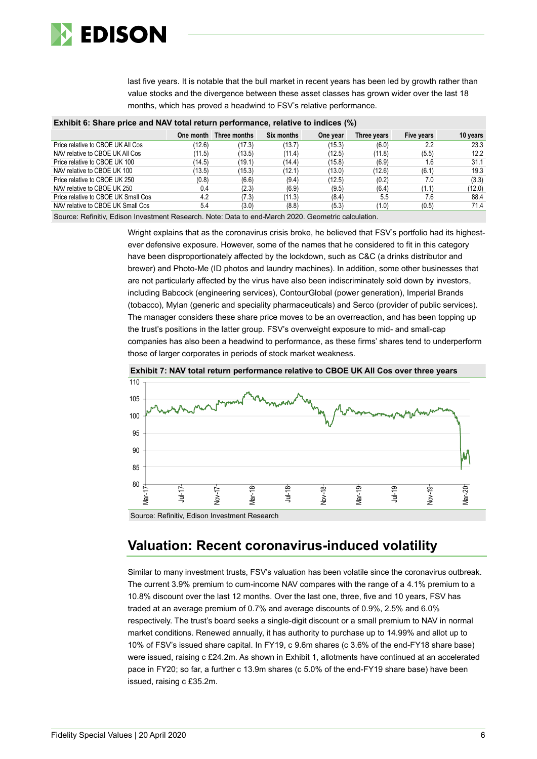

last five years. It is notable that the bull market in recent years has been led by growth rather than value stocks and the divergence between these asset classes has grown wider over the last 18 months, which has proved a headwind to FSV's relative performance.

| Exhibit 6: Share price and NAV total return performance, relative to indices (%) |           |              |            |          |             |            |          |  |  |
|----------------------------------------------------------------------------------|-----------|--------------|------------|----------|-------------|------------|----------|--|--|
|                                                                                  | One month | Three months | Six months | One year | Three years | Five years | 10 years |  |  |
| Price relative to CBOE UK All Cos                                                | (12.6)    | (17.3)       | (13.7)     | (15.3)   | (6.0)       | 2.2        | 23.3     |  |  |
| NAV relative to CBOE UK All Cos                                                  | (11.5)    | (13.5)       | (11.4)     | (12.5)   | (11.8)      | (5.5)      | 12.2     |  |  |
| Price relative to CBOE UK 100                                                    | (14.5)    | (19.1)       | (14.4)     | (15.8)   | (6.9)       | 1.6        | 31.1     |  |  |
| NAV relative to CBOE UK 100                                                      | (13.5)    | (15.3)       | (12.1)     | (13.0)   | (12.6)      | (6.1)      | 19.3     |  |  |
| Price relative to CBOE UK 250                                                    | (0.8)     | (6.6)        | (9.4)      | (12.5)   | (0.2)       | 7.0        | (3.3)    |  |  |
| NAV relative to CBOE UK 250                                                      | 0.4       | (2.3)        | (6.9)      | (9.5)    | (6.4)       | (1.1)      | (12.0)   |  |  |
| Price relative to CBOE UK Small Cos                                              | 4.2       | (7.3)        | (11.3)     | (8.4)    | 5.5         | 7.6        | 88.4     |  |  |
| NAV relative to CBOE UK Small Cos                                                | 5.4       | (3.0)        | (8.8)      | (5.3)    | (1.0)       | (0.5)      | 71.4     |  |  |

### **Exhibit 6: Share price and NAV total return performance, relative to indices (%)**

Source: Refinitiv, Edison Investment Research. Note: Data to end-March 2020. Geometric calculation.

Wright explains that as the coronavirus crisis broke, he believed that FSV's portfolio had its highestever defensive exposure. However, some of the names that he considered to fit in this category have been disproportionately affected by the lockdown, such as C&C (a drinks distributor and brewer) and Photo-Me (ID photos and laundry machines). In addition, some other businesses that are not particularly affected by the virus have also been indiscriminately sold down by investors, including Babcock (engineering services), ContourGlobal (power generation), Imperial Brands (tobacco), Mylan (generic and speciality pharmaceuticals) and Serco (provider of public services). The manager considers these share price moves to be an overreaction, and has been topping up the trust's positions in the latter group. FSV's overweight exposure to mid- and small-cap companies has also been a headwind to performance, as these firms' shares tend to underperform those of larger corporates in periods of stock market weakness.





Source: Refinitiv, Edison Investment Research

## **Valuation: Recent coronavirus-induced volatility**

Similar to many investment trusts, FSV's valuation has been volatile since the coronavirus outbreak. The current 3.9% premium to cum-income NAV compares with the range of a 4.1% premium to a 10.8% discount over the last 12 months. Over the last one, three, five and 10 years, FSV has traded at an average premium of 0.7% and average discounts of 0.9%, 2.5% and 6.0% respectively. The trust's board seeks a single-digit discount or a small premium to NAV in normal market conditions. Renewed annually, it has authority to purchase up to 14.99% and allot up to 10% of FSV's issued share capital. In FY19, c 9.6m shares (c 3.6% of the end-FY18 share base) were issued, raising c £24.2m. As shown in Exhibit 1, allotments have continued at an accelerated pace in FY20; so far, a further c 13.9m shares (c 5.0% of the end-FY19 share base) have been issued, raising c £35.2m.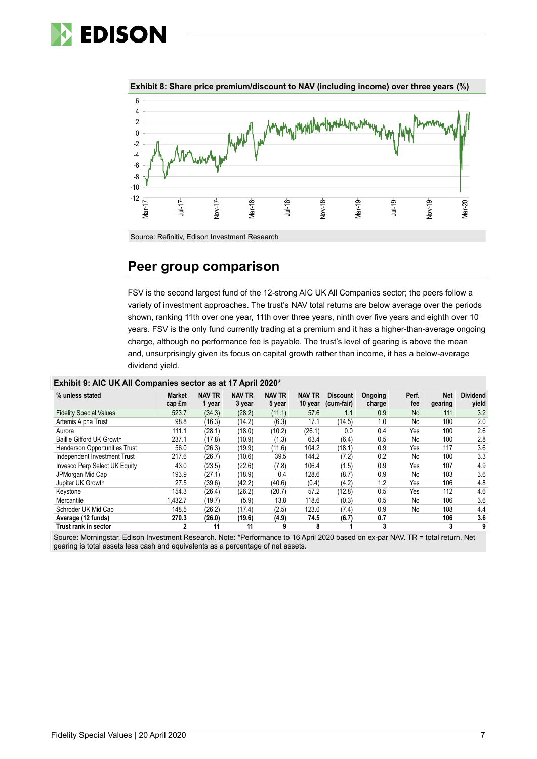



**Exhibit 8: Share price premium/discount to NAV (including income) over three years (%)**

Source: Refinitiv, Edison Investment Research

## **Peer group comparison**

FSV is the second largest fund of the 12-strong AIC UK All Companies sector; the peers follow a variety of investment approaches. The trust's NAV total returns are below average over the periods shown, ranking 11th over one year, 11th over three years, ninth over five years and eighth over 10 years. FSV is the only fund currently trading at a premium and it has a higher-than-average ongoing charge, although no performance fee is payable. The trust's level of gearing is above the mean and, unsurprisingly given its focus on capital growth rather than income, it has a below-average dividend yield.

| % unless stated                      | <b>Market</b><br>cap £m | <b>NAV TR</b><br>1 year | <b>NAV TR</b><br>3 year | <b>NAV TR</b><br>5 year | <b>NAV TR</b><br>10 year | <b>Discount</b><br>(cum-fair) | Ongoing<br>charge | Perf.<br>fee | <b>Net</b><br>gearing | <b>Dividend</b><br>yield |
|--------------------------------------|-------------------------|-------------------------|-------------------------|-------------------------|--------------------------|-------------------------------|-------------------|--------------|-----------------------|--------------------------|
| <b>Fidelity Special Values</b>       | 523.7                   | (34.3)                  | (28.2)                  | (11.1)                  | 57.6                     | 1.1                           | 0.9               | <b>No</b>    | 111                   | 3.2                      |
| Artemis Alpha Trust                  | 98.8                    | (16.3)                  | (14.2)                  | (6.3)                   | 17.1                     | (14.5)                        | 1.0               | No           | 100                   | 2.0                      |
| Aurora                               | 111.1                   | (28.1)                  | (18.0)                  | (10.2)                  | (26.1)                   | 0.0                           | 0.4               | Yes          | 100                   | 2.6                      |
| <b>Baillie Gifford UK Growth</b>     | 237.1                   | (17.8)                  | (10.9)                  | (1.3)                   | 63.4                     | (6.4)                         | 0.5               | No           | 100                   | 2.8                      |
| <b>Henderson Opportunities Trust</b> | 56.0                    | (26.3)                  | (19.9)                  | (11.6)                  | 104.2                    | (18.1)                        | 0.9               | Yes          | 117                   | 3.6                      |
| Independent Investment Trust         | 217.6                   | (26.7)                  | (10.6)                  | 39.5                    | 144.2                    | (7.2)                         | 0.2               | No           | 100                   | 3.3                      |
| Invesco Perp Select UK Equity        | 43.0                    | (23.5)                  | (22.6)                  | (7.8)                   | 106.4                    | (1.5)                         | 0.9               | Yes          | 107                   | 4.9                      |
| JPMorgan Mid Cap                     | 193.9                   | (27.1)                  | (18.9)                  | 0.4                     | 128.6                    | (8.7)                         | 0.9               | No           | 103                   | 3.6                      |
| Jupiter UK Growth                    | 27.5                    | (39.6)                  | (42.2)                  | (40.6)                  | (0.4)                    | (4.2)                         | 1.2               | Yes          | 106                   | 4.8                      |
| Kevstone                             | 154.3                   | (26.4)                  | (26.2)                  | (20.7)                  | 57.2                     | (12.8)                        | 0.5               | Yes          | 112                   | 4.6                      |
| Mercantile                           | 1,432.7                 | (19.7)                  | (5.9)                   | 13.8                    | 118.6                    | (0.3)                         | 0.5               | No           | 106                   | 3.6                      |
| Schroder UK Mid Cap                  | 148.5                   | (26.2)                  | (17.4)                  | (2.5)                   | 123.0                    | (7.4)                         | 0.9               | No           | 108                   | 4.4                      |
| Average (12 funds)                   | 270.3                   | (26.0)                  | (19.6)                  | (4.9)                   | 74.5                     | (6.7)                         | 0.7               |              | 106                   | 3.6                      |
| Trust rank in sector                 | $\mathbf 2$             | 11                      | 11                      | 9                       | 8                        |                               | 3                 |              | 3                     | 9                        |

Source: Morningstar, Edison Investment Research. Note: \*Performance to 16 April 2020 based on ex-par NAV. TR = total return. Net gearing is total assets less cash and equivalents as a percentage of net assets.